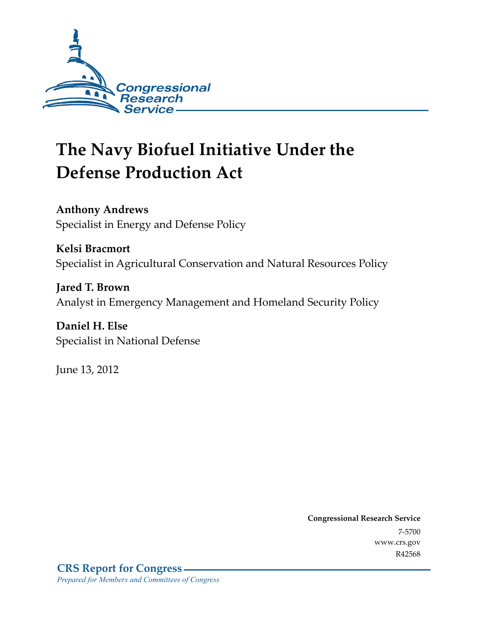

# **The Navy Biofuel Initiative Under the Defense Production Act**

**Anthony Andrews**  Specialist in Energy and Defense Policy

**Kelsi Bracmort**  Specialist in Agricultural Conservation and Natural Resources Policy

**Jared T. Brown**  Analyst in Emergency Management and Homeland Security Policy

**Daniel H. Else**  Specialist in National Defense

June 13, 2012

**Congressional Research Service**  7-5700 www.crs.gov R42568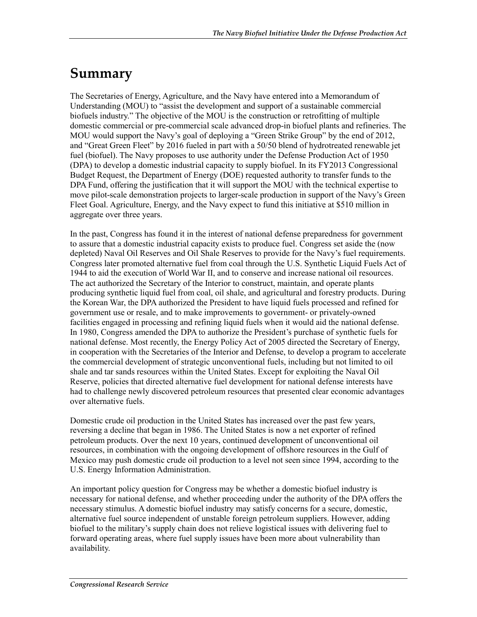# **Summary**

The Secretaries of Energy, Agriculture, and the Navy have entered into a Memorandum of Understanding (MOU) to "assist the development and support of a sustainable commercial biofuels industry." The objective of the MOU is the construction or retrofitting of multiple domestic commercial or pre-commercial scale advanced drop-in biofuel plants and refineries. The MOU would support the Navy's goal of deploying a "Green Strike Group" by the end of 2012, and "Great Green Fleet" by 2016 fueled in part with a 50/50 blend of hydrotreated renewable jet fuel (biofuel). The Navy proposes to use authority under the Defense Production Act of 1950 (DPA) to develop a domestic industrial capacity to supply biofuel. In its FY2013 Congressional Budget Request, the Department of Energy (DOE) requested authority to transfer funds to the DPA Fund, offering the justification that it will support the MOU with the technical expertise to move pilot-scale demonstration projects to larger-scale production in support of the Navy's Green Fleet Goal. Agriculture, Energy, and the Navy expect to fund this initiative at \$510 million in aggregate over three years.

In the past, Congress has found it in the interest of national defense preparedness for government to assure that a domestic industrial capacity exists to produce fuel. Congress set aside the (now depleted) Naval Oil Reserves and Oil Shale Reserves to provide for the Navy's fuel requirements. Congress later promoted alternative fuel from coal through the U.S. Synthetic Liquid Fuels Act of 1944 to aid the execution of World War II, and to conserve and increase national oil resources. The act authorized the Secretary of the Interior to construct, maintain, and operate plants producing synthetic liquid fuel from coal, oil shale, and agricultural and forestry products. During the Korean War, the DPA authorized the President to have liquid fuels processed and refined for government use or resale, and to make improvements to government- or privately-owned facilities engaged in processing and refining liquid fuels when it would aid the national defense. In 1980, Congress amended the DPA to authorize the President's purchase of synthetic fuels for national defense. Most recently, the Energy Policy Act of 2005 directed the Secretary of Energy, in cooperation with the Secretaries of the Interior and Defense, to develop a program to accelerate the commercial development of strategic unconventional fuels, including but not limited to oil shale and tar sands resources within the United States. Except for exploiting the Naval Oil Reserve, policies that directed alternative fuel development for national defense interests have had to challenge newly discovered petroleum resources that presented clear economic advantages over alternative fuels.

Domestic crude oil production in the United States has increased over the past few years, reversing a decline that began in 1986. The United States is now a net exporter of refined petroleum products. Over the next 10 years, continued development of unconventional oil resources, in combination with the ongoing development of offshore resources in the Gulf of Mexico may push domestic crude oil production to a level not seen since 1994, according to the U.S. Energy Information Administration.

An important policy question for Congress may be whether a domestic biofuel industry is necessary for national defense, and whether proceeding under the authority of the DPA offers the necessary stimulus. A domestic biofuel industry may satisfy concerns for a secure, domestic, alternative fuel source independent of unstable foreign petroleum suppliers. However, adding biofuel to the military's supply chain does not relieve logistical issues with delivering fuel to forward operating areas, where fuel supply issues have been more about vulnerability than availability.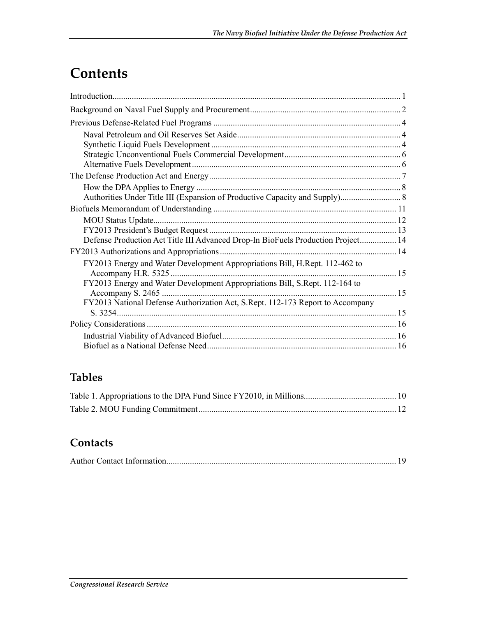# **Contents**

| Defense Production Act Title III Advanced Drop-In BioFuels Production Project 14 |  |
|----------------------------------------------------------------------------------|--|
|                                                                                  |  |
| FY2013 Energy and Water Development Appropriations Bill, H.Rept. 112-462 to      |  |
| FY2013 Energy and Water Development Appropriations Bill, S.Rept. 112-164 to      |  |
| FY2013 National Defense Authorization Act, S.Rept. 112-173 Report to Accompany   |  |
|                                                                                  |  |
|                                                                                  |  |
|                                                                                  |  |

## **Tables**

### **Contacts**

|--|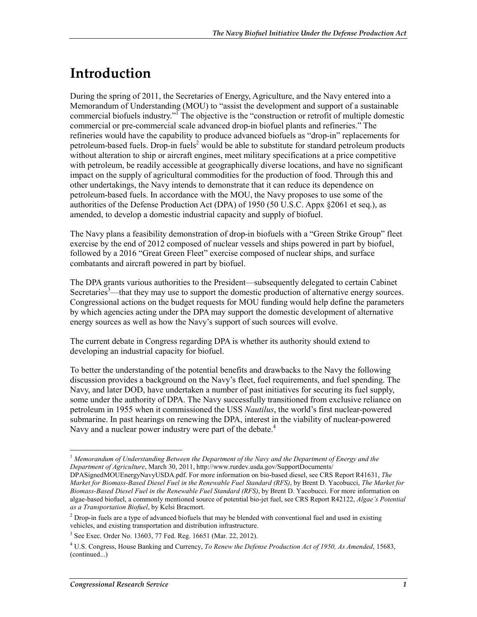# **Introduction**

During the spring of 2011, the Secretaries of Energy, Agriculture, and the Navy entered into a Memorandum of Understanding (MOU) to "assist the development and support of a sustainable commercial biofuels industry."<sup> $\Gamma$ </sup>The objective is the "construction or retrofit of multiple domestic commercial or pre-commercial scale advanced drop-in biofuel plants and refineries." The refineries would have the capability to produce advanced biofuels as "drop-in" replacements for petroleum-based fuels. Drop-in fuels<sup>2</sup> would be able to substitute for standard petroleum products without alteration to ship or aircraft engines, meet military specifications at a price competitive with petroleum, be readily accessible at geographically diverse locations, and have no significant impact on the supply of agricultural commodities for the production of food. Through this and other undertakings, the Navy intends to demonstrate that it can reduce its dependence on petroleum-based fuels. In accordance with the MOU, the Navy proposes to use some of the authorities of the Defense Production Act (DPA) of 1950 (50 U.S.C. Appx §2061 et seq.), as amended, to develop a domestic industrial capacity and supply of biofuel.

The Navy plans a feasibility demonstration of drop-in biofuels with a "Green Strike Group" fleet exercise by the end of 2012 composed of nuclear vessels and ships powered in part by biofuel, followed by a 2016 "Great Green Fleet" exercise composed of nuclear ships, and surface combatants and aircraft powered in part by biofuel.

The DPA grants various authorities to the President—subsequently delegated to certain Cabinet Secretaries<sup>3</sup>—that they may use to support the domestic production of alternative energy sources. Congressional actions on the budget requests for MOU funding would help define the parameters by which agencies acting under the DPA may support the domestic development of alternative energy sources as well as how the Navy's support of such sources will evolve.

The current debate in Congress regarding DPA is whether its authority should extend to developing an industrial capacity for biofuel.

To better the understanding of the potential benefits and drawbacks to the Navy the following discussion provides a background on the Navy's fleet, fuel requirements, and fuel spending. The Navy, and later DOD, have undertaken a number of past initiatives for securing its fuel supply, some under the authority of DPA. The Navy successfully transitioned from exclusive reliance on petroleum in 1955 when it commissioned the USS *Nautilus*, the world's first nuclear-powered submarine. In past hearings on renewing the DPA, interest in the viability of nuclear-powered Navy and a nuclear power industry were part of the debate.<sup>4</sup>

<sup>&</sup>lt;u>.</u> <sup>1</sup> *Memorandum of Understanding Between the Department of the Navy and the Department of Energy and the Department of Agriculture*, March 30, 2011, http://www.rurdev.usda.gov/SupportDocuments/

DPASignedMOUEnergyNavyUSDA.pdf. For more information on bio-based diesel, see CRS Report R41631, *The Market for Biomass-Based Diesel Fuel in the Renewable Fuel Standard (RFS)*, by Brent D. Yacobucci, *The Market for Biomass-Based Diesel Fuel in the Renewable Fuel Standard (RFS)*, by Brent D. Yacobucci. For more information on algae-based biofuel, a commonly mentioned source of potential bio-jet fuel, see CRS Report R42122, *Algae's Potential as a Transportation Biofuel*, by Kelsi Bracmort.

 $2^2$  Drop-in fuels are a type of advanced biofuels that may be blended with conventional fuel and used in existing vehicles, and existing transportation and distribution infrastructure.

<sup>3</sup> See Exec. Order No. 13603, 77 Fed. Reg. 16651 (Mar. 22, 2012).

<sup>4</sup> U.S. Congress, House Banking and Currency, *To Renew the Defense Production Act of 1950, As Amended*, 15683, (continued...)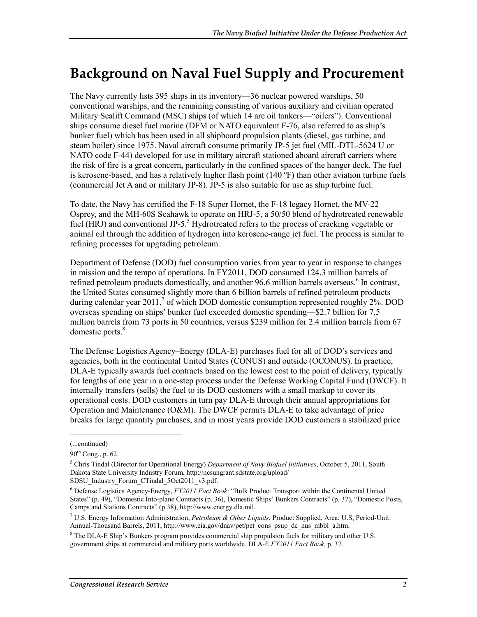# **Background on Naval Fuel Supply and Procurement**

The Navy currently lists 395 ships in its inventory—36 nuclear powered warships, 50 conventional warships, and the remaining consisting of various auxiliary and civilian operated Military Sealift Command (MSC) ships (of which 14 are oil tankers—"oilers"). Conventional ships consume diesel fuel marine (DFM or NATO equivalent F-76, also referred to as ship's bunker fuel) which has been used in all shipboard propulsion plants (diesel, gas turbine, and steam boiler) since 1975. Naval aircraft consume primarily JP-5 jet fuel (MIL-DTL-5624 U or NATO code F-44) developed for use in military aircraft stationed aboard aircraft carriers where the risk of fire is a great concern, particularly in the confined spaces of the hanger deck. The fuel is kerosene-based, and has a relatively higher flash point  $(140 \degree F)$  than other aviation turbine fuels (commercial Jet A and or military JP-8). JP-5 is also suitable for use as ship turbine fuel.

To date, the Navy has certified the F-18 Super Hornet, the F-18 legacy Hornet, the MV-22 Osprey, and the MH-60S Seahawk to operate on HRJ-5, a 50/50 blend of hydrotreated renewable fuel (HRJ) and conventional JP-5.<sup>5</sup> Hydrotreated refers to the process of cracking vegetable or animal oil through the addition of hydrogen into kerosene-range jet fuel. The process is similar to refining processes for upgrading petroleum.

Department of Defense (DOD) fuel consumption varies from year to year in response to changes in mission and the tempo of operations. In FY2011, DOD consumed 124.3 million barrels of refined petroleum products domestically, and another 96.6 million barrels overseas.<sup>6</sup> In contrast, the United States consumed slightly more than 6 billion barrels of refined petroleum products during calendar year 2011,<sup>7</sup> of which DOD domestic consumption represented roughly 2%. DOD overseas spending on ships' bunker fuel exceeded domestic spending—\$2.7 billion for 7.5 million barrels from 73 ports in 50 countries, versus \$239 million for 2.4 million barrels from 67 domestic ports.<sup>8</sup>

The Defense Logistics Agency–Energy (DLA-E) purchases fuel for all of DOD's services and agencies, both in the continental United States (CONUS) and outside (OCONUS). In practice, DLA-E typically awards fuel contracts based on the lowest cost to the point of delivery, typically for lengths of one year in a one-step process under the Defense Working Capital Fund (DWCF). It internally transfers (sells) the fuel to its DOD customers with a small markup to cover its operational costs. DOD customers in turn pay DLA-E through their annual appropriations for Operation and Maintenance (O&M). The DWCF permits DLA-E to take advantage of price breaks for large quantity purchases, and in most years provide DOD customers a stabilized price

<sup>(...</sup>continued)

 $90^{th}$  Cong., p. 62.

<sup>5</sup> Chris Tindal (Director for Operational Energy) *Department of Navy Biofuel Initiatives*, October 5, 2011, South Dakota State University Industry Forum, http://ncsungrant.sdstate.org/upload/

SDSU\_Industry\_Forum\_CTindal\_5Oct2011\_v3.pdf.

<sup>6</sup> Defense Logistics Agency-Energy, *FY2011 Fact Book*: "Bulk Product Transport within the Continental United States" (p. 49), "Domestic Into-plane Contracts (p. 36), Domestic Ships' Bunkers Contracts" (p. 37), "Domestic Posts, Camps and Stations Contracts" (p.38), http://www.energy.dla.mil.

<sup>7</sup> U.S. Energy Information Administration, *Petroleum & Other Liquids*, Product Supplied, Area: U.S, Period-Unit: Annual-Thousand Barrels, 2011, http://www.eia.gov/dnav/pet/pet\_cons\_psup\_dc\_nus\_mbbl\_a.htm.

<sup>&</sup>lt;sup>8</sup> The DLA-E Ship's Bunkers program provides commercial ship propulsion fuels for military and other U.S. government ships at commercial and military ports worldwide. DLA-E *FY2011 Fact Book*, p. 37.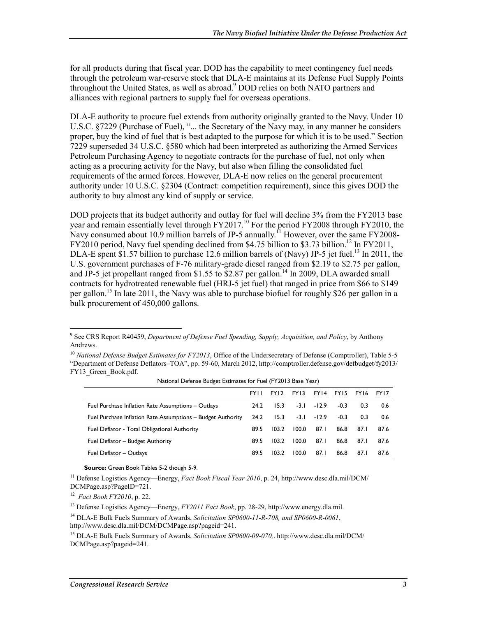for all products during that fiscal year. DOD has the capability to meet contingency fuel needs through the petroleum war-reserve stock that DLA-E maintains at its Defense Fuel Supply Points throughout the United States, as well as abroad.<sup>9</sup> DOD relies on both NATO partners and alliances with regional partners to supply fuel for overseas operations.

DLA-E authority to procure fuel extends from authority originally granted to the Navy. Under 10 U.S.C. §7229 (Purchase of Fuel), "... the Secretary of the Navy may, in any manner he considers proper, buy the kind of fuel that is best adapted to the purpose for which it is to be used." Section 7229 superseded 34 U.S.C. §580 which had been interpreted as authorizing the Armed Services Petroleum Purchasing Agency to negotiate contracts for the purchase of fuel, not only when acting as a procuring activity for the Navy, but also when filling the consolidated fuel requirements of the armed forces. However, DLA-E now relies on the general procurement authority under 10 U.S.C. §2304 (Contract: competition requirement), since this gives DOD the authority to buy almost any kind of supply or service.

DOD projects that its budget authority and outlay for fuel will decline 3% from the FY2013 base year and remain essentially level through  $FY2017$ .<sup>10</sup> For the period  $FY2008$  through  $FY2010$ , the Navy consumed about 10.9 million barrels of JP-5 annually.<sup>11</sup> However, over the same FY2008-FY2010 period, Navy fuel spending declined from \$4.75 billion to \$3.73 billion.<sup>12</sup> In FY2011, DLA-E spent \$1.57 billion to purchase 12.6 million barrels of (Navy) JP-5 jet fuel.<sup>13</sup> In 2011, the U.S. government purchases of F-76 military-grade diesel ranged from \$2.19 to \$2.75 per gallon, and JP-5 jet propellant ranged from \$1.55 to \$2.87 per gallon.<sup>14</sup> In 2009, DLA awarded small contracts for hydrotreated renewable fuel (HRJ-5 jet fuel) that ranged in price from \$66 to \$149 per gallon.<sup>15</sup> In late 2011, the Navy was able to purchase biofuel for roughly \$26 per gallon in a bulk procurement of 450,000 gallons.

<sup>&</sup>lt;sup>10</sup> *National Defense Budget Estimates for FY2013*, Office of the Undersecretary of Defense (Comptroller), Table 5-5 "Department of Defense Deflators–TOA", pp. 59-60, March 2012, http://comptroller.defense.gov/defbudget/fy2013/ FY13 Green Book.pdf.

|                                                             | <b>FYII</b> | FY <sub>12</sub> | FY13   | FY14    | FY15   | FY16 | FY17 |
|-------------------------------------------------------------|-------------|------------------|--------|---------|--------|------|------|
| Fuel Purchase Inflation Rate Assumptions - Outlays          | 24.2        | 15.3             | $-3.1$ | $-12.9$ | $-0.3$ | 0.3  | 0.6  |
| Fuel Purchase Inflation Rate Assumptions - Budget Authority | 24.2        | 15.3             | $-3.1$ | $-12.9$ | $-0.3$ | 0.3  | 0.6  |
| Fuel Deflator - Total Obligational Authority                | 89.5        | 103.2            | 100.0  | 87.1    | 86.8   | 87.1 | 87.6 |
| Fuel Deflator - Budget Authority                            | 89.5        | 103.2            | 100.0  | 87.1    | 86.8   | 87.1 | 87.6 |
| Fuel Deflator - Outlays                                     | 89.5        | 103.2            | 100.0  | 87.1    | 86.8   | 87.1 | 87.6 |

National Defense Budget Estimates for Fuel (FY2013 Base Year)

**Source:** Green Book Tables 5-2 though 5-9.

11 Defense Logistics Agency—Energy, *Fact Book Fiscal Year 2010*, p. 24, http://www.desc.dla.mil/DCM/ DCMPage.asp?PageID=721.

12 *Fact Book FY2010*, p. 22.

<u>.</u>

13 Defense Logistics Agency—Energy, *FY2011 Fact Book*, pp. 28-29, http://www.energy.dla.mil.

14 DLA-E Bulk Fuels Summary of Awards, *Solicitation SP0600-11-R-708, and SP0600-R-0061*, http://www.desc.dla.mil/DCM/DCMPage.asp?pageid=241.

15 DLA-E Bulk Fuels Summary of Awards, *Solicitation SP0600-09-070,*. http://www.desc.dla.mil/DCM/ DCMPage.asp?pageid=241.

<sup>9</sup> See CRS Report R40459, *Department of Defense Fuel Spending, Supply, Acquisition, and Policy*, by Anthony Andrews.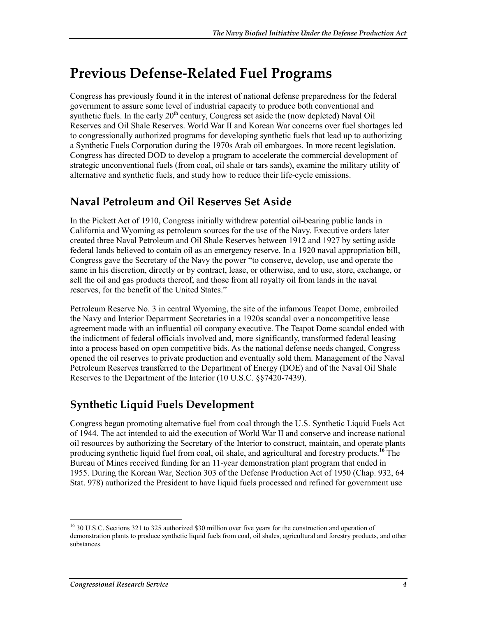# **Previous Defense-Related Fuel Programs**

Congress has previously found it in the interest of national defense preparedness for the federal government to assure some level of industrial capacity to produce both conventional and synthetic fuels. In the early  $20<sup>th</sup>$  century, Congress set aside the (now depleted) Naval Oil Reserves and Oil Shale Reserves. World War II and Korean War concerns over fuel shortages led to congressionally authorized programs for developing synthetic fuels that lead up to authorizing a Synthetic Fuels Corporation during the 1970s Arab oil embargoes. In more recent legislation, Congress has directed DOD to develop a program to accelerate the commercial development of strategic unconventional fuels (from coal, oil shale or tars sands), examine the military utility of alternative and synthetic fuels, and study how to reduce their life-cycle emissions.

## **Naval Petroleum and Oil Reserves Set Aside**

In the Pickett Act of 1910, Congress initially withdrew potential oil-bearing public lands in California and Wyoming as petroleum sources for the use of the Navy. Executive orders later created three Naval Petroleum and Oil Shale Reserves between 1912 and 1927 by setting aside federal lands believed to contain oil as an emergency reserve. In a 1920 naval appropriation bill, Congress gave the Secretary of the Navy the power "to conserve, develop, use and operate the same in his discretion, directly or by contract, lease, or otherwise, and to use, store, exchange, or sell the oil and gas products thereof, and those from all royalty oil from lands in the naval reserves, for the benefit of the United States."

Petroleum Reserve No. 3 in central Wyoming, the site of the infamous Teapot Dome, embroiled the Navy and Interior Department Secretaries in a 1920s scandal over a noncompetitive lease agreement made with an influential oil company executive. The Teapot Dome scandal ended with the indictment of federal officials involved and, more significantly, transformed federal leasing into a process based on open competitive bids. As the national defense needs changed, Congress opened the oil reserves to private production and eventually sold them. Management of the Naval Petroleum Reserves transferred to the Department of Energy (DOE) and of the Naval Oil Shale Reserves to the Department of the Interior (10 U.S.C. §§7420-7439).

## **Synthetic Liquid Fuels Development**

Congress began promoting alternative fuel from coal through the U.S. Synthetic Liquid Fuels Act of 1944. The act intended to aid the execution of World War II and conserve and increase national oil resources by authorizing the Secretary of the Interior to construct, maintain, and operate plants producing synthetic liquid fuel from coal, oil shale, and agricultural and forestry products.**<sup>16</sup>** The Bureau of Mines received funding for an 11-year demonstration plant program that ended in 1955. During the Korean War, Section 303 of the Defense Production Act of 1950 (Chap. 932, 64 Stat. 978) authorized the President to have liquid fuels processed and refined for government use

<sup>&</sup>lt;sup>16</sup> 30 U.S.C. Sections 321 to 325 authorized \$30 million over five years for the construction and operation of demonstration plants to produce synthetic liquid fuels from coal, oil shales, agricultural and forestry products, and other substances.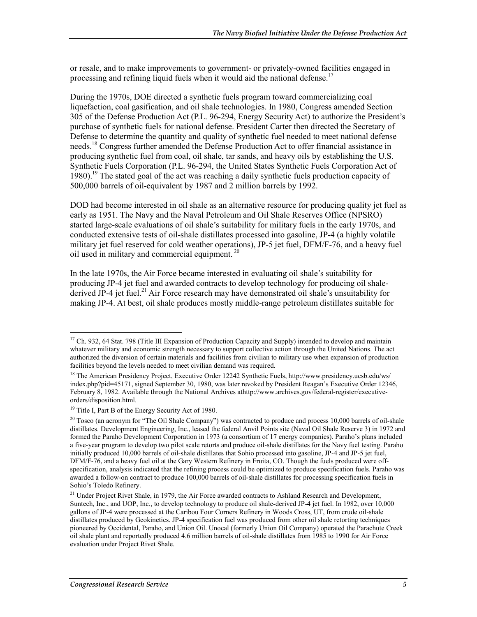or resale, and to make improvements to government- or privately-owned facilities engaged in processing and refining liquid fuels when it would aid the national defense.<sup>17</sup>

During the 1970s, DOE directed a synthetic fuels program toward commercializing coal liquefaction, coal gasification, and oil shale technologies. In 1980, Congress amended Section 305 of the Defense Production Act (P.L. 96-294, Energy Security Act) to authorize the President's purchase of synthetic fuels for national defense. President Carter then directed the Secretary of Defense to determine the quantity and quality of synthetic fuel needed to meet national defense needs.18 Congress further amended the Defense Production Act to offer financial assistance in producing synthetic fuel from coal, oil shale, tar sands, and heavy oils by establishing the U.S. Synthetic Fuels Corporation (P.L. 96-294, the United States Synthetic Fuels Corporation Act of 1980).19 The stated goal of the act was reaching a daily synthetic fuels production capacity of 500,000 barrels of oil-equivalent by 1987 and 2 million barrels by 1992.

DOD had become interested in oil shale as an alternative resource for producing quality jet fuel as early as 1951. The Navy and the Naval Petroleum and Oil Shale Reserves Office (NPSRO) started large-scale evaluations of oil shale's suitability for military fuels in the early 1970s, and conducted extensive tests of oil-shale distillates processed into gasoline, JP-4 (a highly volatile military jet fuel reserved for cold weather operations), JP-5 jet fuel, DFM/F-76, and a heavy fuel oil used in military and commercial equipment.<sup>20</sup>

In the late 1970s, the Air Force became interested in evaluating oil shale's suitability for producing JP-4 jet fuel and awarded contracts to develop technology for producing oil shalederived JP-4 jet fuel.<sup>21</sup> Air Force research may have demonstrated oil shale's unsuitability for making JP-4. At best, oil shale produces mostly middle-range petroleum distillates suitable for

<sup>&</sup>lt;sup>17</sup> Ch. 932, 64 Stat. 798 (Title III Expansion of Production Capacity and Supply) intended to develop and maintain whatever military and economic strength necessary to support collective action through the United Nations. The act authorized the diversion of certain materials and facilities from civilian to military use when expansion of production facilities beyond the levels needed to meet civilian demand was required.

<sup>18</sup> The American Presidency Project, Executive Order 12242 Synthetic Fuels, http://www.presidency.ucsb.edu/ws/ index.php?pid=45171, signed September 30, 1980, was later revoked by President Reagan's Executive Order 12346, February 8, 1982. Available through the National Archives athttp://www.archives.gov/federal-register/executiveorders/disposition.html.

<sup>&</sup>lt;sup>19</sup> Title I, Part B of the Energy Security Act of 1980.

 $20$  Tosco (an acronym for "The Oil Shale Company") was contracted to produce and process 10,000 barrels of oil-shale distillates. Development Engineering, Inc., leased the federal Anvil Points site (Naval Oil Shale Reserve 3) in 1972 and formed the Paraho Development Corporation in 1973 (a consortium of 17 energy companies). Paraho's plans included a five-year program to develop two pilot scale retorts and produce oil-shale distillates for the Navy fuel testing. Paraho initially produced 10,000 barrels of oil-shale distillates that Sohio processed into gasoline, JP-4 and JP-5 jet fuel, DFM/F-76, and a heavy fuel oil at the Gary Western Refinery in Fruita, CO. Though the fuels produced were offspecification, analysis indicated that the refining process could be optimized to produce specification fuels. Paraho was awarded a follow-on contract to produce 100,000 barrels of oil-shale distillates for processing specification fuels in Sohio's Toledo Refinery.

<sup>&</sup>lt;sup>21</sup> Under Project Rivet Shale, in 1979, the Air Force awarded contracts to Ashland Research and Development, Suntech, Inc., and UOP, Inc., to develop technology to produce oil shale-derived JP-4 jet fuel. In 1982, over 10,000 gallons of JP-4 were processed at the Caribou Four Corners Refinery in Woods Cross, UT, from crude oil-shale distillates produced by Geokinetics. JP-4 specification fuel was produced from other oil shale retorting techniques pioneered by Occidental, Paraho, and Union Oil. Unocal (formerly Union Oil Company) operated the Parachute Creek oil shale plant and reportedly produced 4.6 million barrels of oil-shale distillates from 1985 to 1990 for Air Force evaluation under Project Rivet Shale.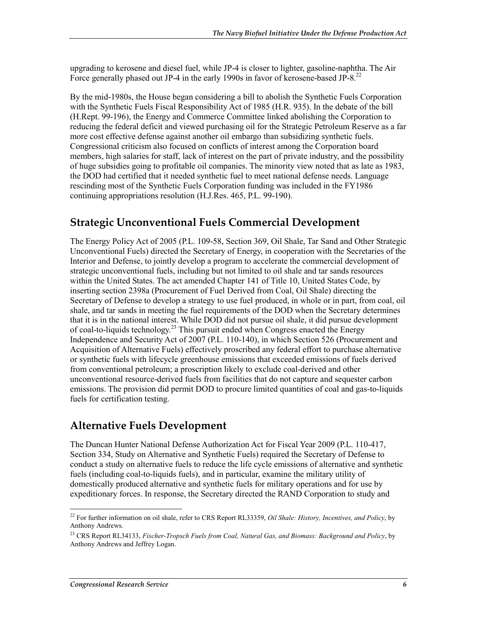upgrading to kerosene and diesel fuel, while JP-4 is closer to lighter, gasoline-naphtha. The Air Force generally phased out JP-4 in the early 1990s in favor of kerosene-based JP-8.<sup>22</sup>

By the mid-1980s, the House began considering a bill to abolish the Synthetic Fuels Corporation with the Synthetic Fuels Fiscal Responsibility Act of 1985 (H.R. 935). In the debate of the bill (H.Rept. 99-196), the Energy and Commerce Committee linked abolishing the Corporation to reducing the federal deficit and viewed purchasing oil for the Strategic Petroleum Reserve as a far more cost effective defense against another oil embargo than subsidizing synthetic fuels. Congressional criticism also focused on conflicts of interest among the Corporation board members, high salaries for staff, lack of interest on the part of private industry, and the possibility of huge subsidies going to profitable oil companies. The minority view noted that as late as 1983, the DOD had certified that it needed synthetic fuel to meet national defense needs. Language rescinding most of the Synthetic Fuels Corporation funding was included in the FY1986 continuing appropriations resolution (H.J.Res. 465, P.L. 99-190).

#### **Strategic Unconventional Fuels Commercial Development**

The Energy Policy Act of 2005 (P.L. 109-58, Section 369, Oil Shale, Tar Sand and Other Strategic Unconventional Fuels) directed the Secretary of Energy, in cooperation with the Secretaries of the Interior and Defense, to jointly develop a program to accelerate the commercial development of strategic unconventional fuels, including but not limited to oil shale and tar sands resources within the United States. The act amended Chapter 141 of Title 10, United States Code, by inserting section 2398a (Procurement of Fuel Derived from Coal, Oil Shale) directing the Secretary of Defense to develop a strategy to use fuel produced, in whole or in part, from coal, oil shale, and tar sands in meeting the fuel requirements of the DOD when the Secretary determines that it is in the national interest. While DOD did not pursue oil shale, it did pursue development of coal-to-liquids technology.23 This pursuit ended when Congress enacted the Energy Independence and Security Act of 2007 (P.L. 110-140), in which Section 526 (Procurement and Acquisition of Alternative Fuels) effectively proscribed any federal effort to purchase alternative or synthetic fuels with lifecycle greenhouse emissions that exceeded emissions of fuels derived from conventional petroleum; a proscription likely to exclude coal-derived and other unconventional resource-derived fuels from facilities that do not capture and sequester carbon emissions. The provision did permit DOD to procure limited quantities of coal and gas-to-liquids fuels for certification testing.

#### **Alternative Fuels Development**

The Duncan Hunter National Defense Authorization Act for Fiscal Year 2009 (P.L. 110-417, Section 334, Study on Alternative and Synthetic Fuels) required the Secretary of Defense to conduct a study on alternative fuels to reduce the life cycle emissions of alternative and synthetic fuels (including coal-to-liquids fuels), and in particular, examine the military utility of domestically produced alternative and synthetic fuels for military operations and for use by expeditionary forces. In response, the Secretary directed the RAND Corporation to study and

<sup>22</sup> For further information on oil shale, refer to CRS Report RL33359, *Oil Shale: History, Incentives, and Policy*, by Anthony Andrews.

<sup>23</sup> CRS Report RL34133, *Fischer-Tropsch Fuels from Coal, Natural Gas, and Biomass: Background and Policy*, by Anthony Andrews and Jeffrey Logan.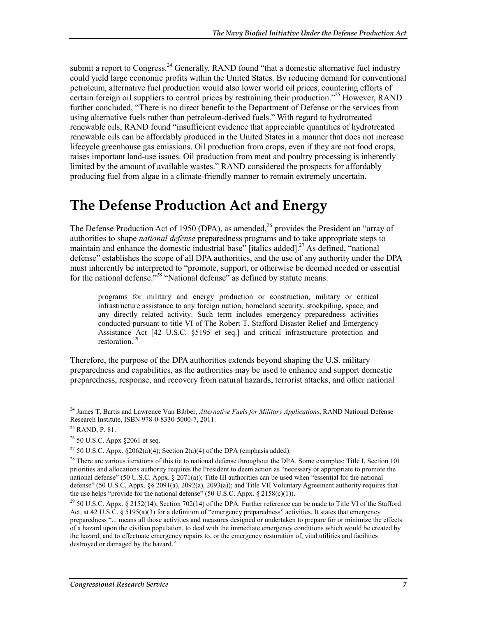submit a report to Congress.<sup>24</sup> Generally, RAND found "that a domestic alternative fuel industry could yield large economic profits within the United States. By reducing demand for conventional petroleum, alternative fuel production would also lower world oil prices, countering efforts of certain foreign oil suppliers to control prices by restraining their production."25 However, RAND further concluded, "There is no direct benefit to the Department of Defense or the services from using alternative fuels rather than petroleum-derived fuels." With regard to hydrotreated renewable oils, RAND found "insufficient evidence that appreciable quantities of hydrotreated renewable oils can be affordably produced in the United States in a manner that does not increase lifecycle greenhouse gas emissions. Oil production from crops, even if they are not food crops, raises important land-use issues. Oil production from meat and poultry processing is inherently limited by the amount of available wastes." RAND considered the prospects for affordably producing fuel from algae in a climate-friendly manner to remain extremely uncertain.

# **The Defense Production Act and Energy**

The Defense Production Act of 1950 (DPA), as amended,  $^{26}$  provides the President an "array of authorities to shape *national defense* preparedness programs and to take appropriate steps to maintain and enhance the domestic industrial base" [italics added].<sup>27</sup> As defined, "national defense" establishes the scope of all DPA authorities, and the use of any authority under the DPA must inherently be interpreted to "promote, support, or otherwise be deemed needed or essential for the national defense.<sup> $228$ </sup> "National defense" as defined by statute means:

programs for military and energy production or construction, military or critical infrastructure assistance to any foreign nation, homeland security, stockpiling, space, and any directly related activity. Such term includes emergency preparedness activities conducted pursuant to title VI of The Robert T. Stafford Disaster Relief and Emergency Assistance Act [42 U.S.C. §5195 et seq.] and critical infrastructure protection and restoration.<sup>29</sup>

Therefore, the purpose of the DPA authorities extends beyond shaping the U.S. military preparedness and capabilities, as the authorities may be used to enhance and support domestic preparedness, response, and recovery from natural hazards, terrorist attacks, and other national

<sup>24</sup> James T. Bartis and Lawrence Van Bibber, *Alternative Fuels for Military Applications*, RAND National Defense Research Institute, ISBN 978-0-8330-5000-7, 2011.

<sup>25</sup> RAND, P. 81.

 $26$  50 U.S.C. Appx §2061 et seq.

<sup>&</sup>lt;sup>27</sup> 50 U.S.C. Appx. §2062(a)(4); Section 2(a)(4) of the DPA (emphasis added).

<sup>&</sup>lt;sup>28</sup> There are various iterations of this tie to national defense throughout the DPA. Some examples: Title I, Section 101 priorities and allocations authority requires the President to deem action as "necessary or appropriate to promote the national defense" (50 U.S.C. Appx. § 2071(a)); Title III authorities can be used when "essential for the national defense" (50 U.S.C. Appx. §§ 2091(a), 2092(a), 2093(a)); and Title VII Voluntary Agreement authority requires that the use helps "provide for the national defense" (50 U.S.C. Appx.  $\S$  2158(c)(1)).

<sup>&</sup>lt;sup>29</sup> 50 U.S.C. Appx. § 2152(14); Section 702(14) of the DPA. Further reference can be made to Title VI of the Stafford Act, at 42 U.S.C. § 5195(a)(3) for a definition of "emergency preparedness" activities. It states that emergency preparedness "... means all those activities and measures designed or undertaken to prepare for or minimize the effects of a hazard upon the civilian population, to deal with the immediate emergency conditions which would be created by the hazard, and to effectuate emergency repairs to, or the emergency restoration of, vital utilities and facilities destroyed or damaged by the hazard."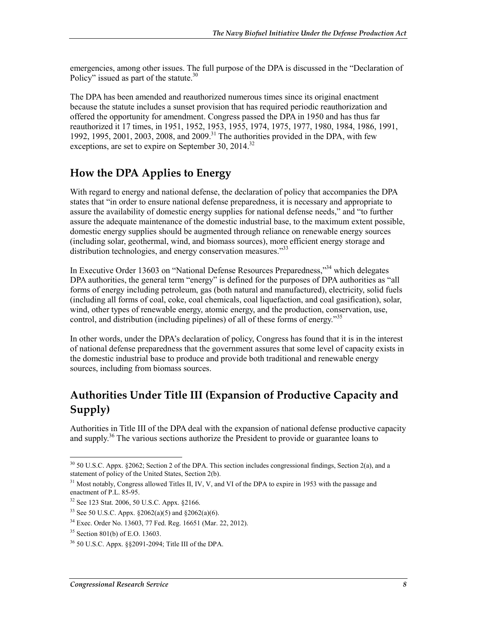emergencies, among other issues. The full purpose of the DPA is discussed in the "Declaration of Policy" issued as part of the statute. $30$ 

The DPA has been amended and reauthorized numerous times since its original enactment because the statute includes a sunset provision that has required periodic reauthorization and offered the opportunity for amendment. Congress passed the DPA in 1950 and has thus far reauthorized it 17 times, in 1951, 1952, 1953, 1955, 1974, 1975, 1977, 1980, 1984, 1986, 1991, 1992, 1995, 2001, 2003, 2008, and 2009.<sup>31</sup> The authorities provided in the DPA, with few exceptions, are set to expire on September 30,  $2014$ <sup>32</sup>

## **How the DPA Applies to Energy**

With regard to energy and national defense, the declaration of policy that accompanies the DPA states that "in order to ensure national defense preparedness, it is necessary and appropriate to assure the availability of domestic energy supplies for national defense needs," and "to further assure the adequate maintenance of the domestic industrial base, to the maximum extent possible, domestic energy supplies should be augmented through reliance on renewable energy sources (including solar, geothermal, wind, and biomass sources), more efficient energy storage and distribution technologies, and energy conservation measures.<sup>333</sup>

In Executive Order 13603 on "National Defense Resources Preparedness,"<sup>34</sup> which delegates DPA authorities, the general term "energy" is defined for the purposes of DPA authorities as "all forms of energy including petroleum, gas (both natural and manufactured), electricity, solid fuels (including all forms of coal, coke, coal chemicals, coal liquefaction, and coal gasification), solar, wind, other types of renewable energy, atomic energy, and the production, conservation, use, control, and distribution (including pipelines) of all of these forms of energy.<sup>355</sup>

In other words, under the DPA's declaration of policy, Congress has found that it is in the interest of national defense preparedness that the government assures that some level of capacity exists in the domestic industrial base to produce and provide both traditional and renewable energy sources, including from biomass sources.

# **Authorities Under Title III (Expansion of Productive Capacity and Supply)**

Authorities in Title III of the DPA deal with the expansion of national defense productive capacity and supply.<sup>36</sup> The various sections authorize the President to provide or guarantee loans to

 $30\,$  50 U.S.C. Appx. §2062; Section 2 of the DPA. This section includes congressional findings, Section 2(a), and a statement of policy of the United States, Section 2(b).

<sup>&</sup>lt;sup>31</sup> Most notably, Congress allowed Titles II, IV, V, and VI of the DPA to expire in 1953 with the passage and enactment of P.L. 85-95.

<sup>32</sup> See 123 Stat. 2006, 50 U.S.C. Appx. §2166.

<sup>33</sup> See 50 U.S.C. Appx. §2062(a)(5) and §2062(a)(6).

<sup>34</sup> Exec. Order No. 13603, 77 Fed. Reg. 16651 (Mar. 22, 2012).

<sup>35</sup> Section 801(b) of E.O. 13603.

<sup>36 50</sup> U.S.C. Appx. §§2091-2094; Title III of the DPA.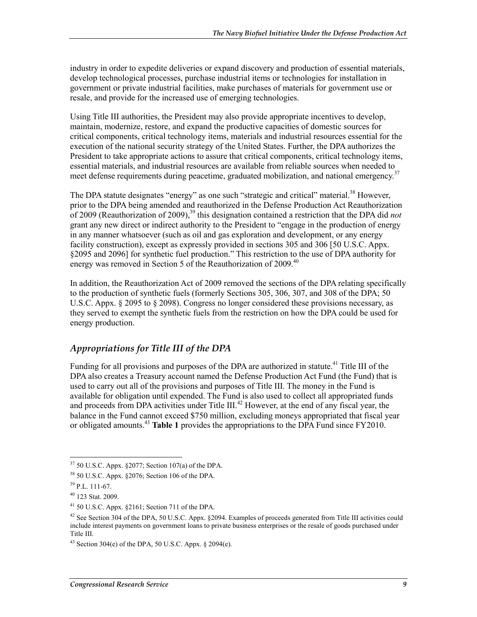industry in order to expedite deliveries or expand discovery and production of essential materials, develop technological processes, purchase industrial items or technologies for installation in government or private industrial facilities, make purchases of materials for government use or resale, and provide for the increased use of emerging technologies.

Using Title III authorities, the President may also provide appropriate incentives to develop, maintain, modernize, restore, and expand the productive capacities of domestic sources for critical components, critical technology items, materials and industrial resources essential for the execution of the national security strategy of the United States. Further, the DPA authorizes the President to take appropriate actions to assure that critical components, critical technology items, essential materials, and industrial resources are available from reliable sources when needed to meet defense requirements during peacetime, graduated mobilization, and national emergency.<sup>37</sup>

The DPA statute designates "energy" as one such "strategic and critical" material.<sup>38</sup> However, prior to the DPA being amended and reauthorized in the Defense Production Act Reauthorization of 2009 (Reauthorization of 2009),<sup>39</sup> this designation contained a restriction that the DPA did *not* grant any new direct or indirect authority to the President to "engage in the production of energy in any manner whatsoever (such as oil and gas exploration and development, or any energy facility construction), except as expressly provided in sections 305 and 306 [50 U.S.C. Appx. §2095 and 2096] for synthetic fuel production." This restriction to the use of DPA authority for energy was removed in Section 5 of the Reauthorization of 2009.<sup>40</sup>

In addition, the Reauthorization Act of 2009 removed the sections of the DPA relating specifically to the production of synthetic fuels (formerly Sections 305, 306, 307, and 308 of the DPA; 50 U.S.C. Appx. § 2095 to § 2098). Congress no longer considered these provisions necessary, as they served to exempt the synthetic fuels from the restriction on how the DPA could be used for energy production.

#### *Appropriations for Title III of the DPA*

Funding for all provisions and purposes of the DPA are authorized in statute.<sup>41</sup> Title III of the DPA also creates a Treasury account named the Defense Production Act Fund (the Fund) that is used to carry out all of the provisions and purposes of Title III. The money in the Fund is available for obligation until expended. The Fund is also used to collect all appropriated funds and proceeds from DPA activities under Title III.<sup>42</sup> However, at the end of any fiscal year, the balance in the Fund cannot exceed \$750 million, excluding moneys appropriated that fiscal year or obligated amounts.43 **Table 1** provides the appropriations to the DPA Fund since FY2010.

 $37$  50 U.S.C. Appx. §2077; Section 107(a) of the DPA.

<sup>38 50</sup> U.S.C. Appx. §2076; Section 106 of the DPA.

 $39$  P.L. 111-67.

<sup>40 123</sup> Stat. 2009.

<sup>41 50</sup> U.S.C. Appx. §2161; Section 711 of the DPA.

<sup>&</sup>lt;sup>42</sup> See Section 304 of the DPA, 50 U.S.C. Appx. §2094. Examples of proceeds generated from Title III activities could include interest payments on government loans to private business enterprises or the resale of goods purchased under Title III.

<sup>&</sup>lt;sup>43</sup> Section 304(e) of the DPA, 50 U.S.C. Appx.  $\&$  2094(e).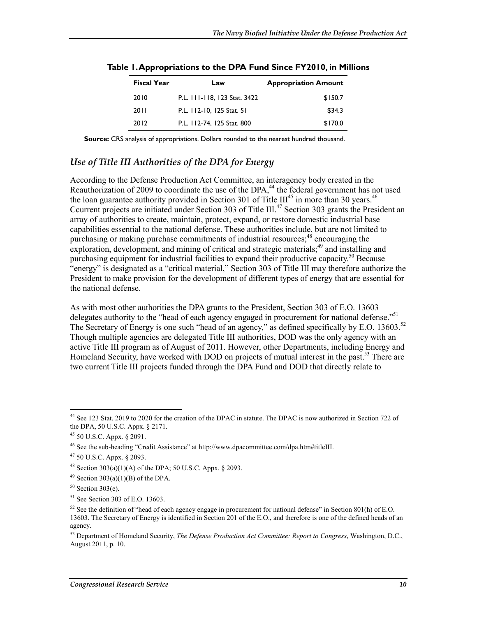| <b>Fiscal Year</b> | Law                          | <b>Appropriation Amount</b> |
|--------------------|------------------------------|-----------------------------|
| 2010               | P.L. 111-118, 123 Stat. 3422 | \$150.7                     |
| 20 L L             | P.L. 112-10, 125 Stat. 51    | \$34.3                      |
| 2012               | P.L. 112-74, 125 Stat. 800   | \$170.0                     |

**Table 1. Appropriations to the DPA Fund Since FY2010, in Millions** 

**Source:** CRS analysis of appropriations. Dollars rounded to the nearest hundred thousand.

#### *Use of Title III Authorities of the DPA for Energy*

According to the Defense Production Act Committee, an interagency body created in the Reauthorization of 2009 to coordinate the use of the DPA,<sup>44</sup> the federal government has not used the loan guarantee authority provided in Section 301 of Title  $III^{45}$  in more than 30 years.<sup>46</sup> Ccurrent projects are initiated under Section 303 of Title III.<sup>47</sup> Section 303 grants the President an array of authorities to create, maintain, protect, expand, or restore domestic industrial base capabilities essential to the national defense. These authorities include, but are not limited to purchasing or making purchase commitments of industrial resources;<sup>48</sup> encouraging the exploration, development, and mining of critical and strategic materials; $^{49}$  and installing and purchasing equipment for industrial facilities to expand their productive capacity.<sup>50</sup> Because "energy" is designated as a "critical material," Section 303 of Title III may therefore authorize the President to make provision for the development of different types of energy that are essential for the national defense.

As with most other authorities the DPA grants to the President, Section 303 of E.O. 13603 delegates authority to the "head of each agency engaged in procurement for national defense."<sup>51</sup> The Secretary of Energy is one such "head of an agency," as defined specifically by E.O. 13603.<sup>52</sup> Though multiple agencies are delegated Title III authorities, DOD was the only agency with an active Title III program as of August of 2011. However, other Departments, including Energy and Homeland Security, have worked with DOD on projects of mutual interest in the past.<sup>53</sup> There are two current Title III projects funded through the DPA Fund and DOD that directly relate to

<sup>&</sup>lt;sup>44</sup> See 123 Stat. 2019 to 2020 for the creation of the DPAC in statute. The DPAC is now authorized in Section 722 of the DPA, 50 U.S.C. Appx. § 2171.

<sup>45 50</sup> U.S.C. Appx. § 2091.

<sup>46</sup> See the sub-heading "Credit Assistance" at http://www.dpacommittee.com/dpa.htm#titleIII.

<sup>47 50</sup> U.S.C. Appx. § 2093.

<sup>&</sup>lt;sup>48</sup> Section 303(a)(1)(A) of the DPA; 50 U.S.C. Appx. § 2093.

 $49$  Section 303(a)(1)(B) of the DPA.

 $50$  Section 303(e).

<sup>51</sup> See Section 303 of E.O. 13603.

<sup>&</sup>lt;sup>52</sup> See the definition of "head of each agency engage in procurement for national defense" in Section 801(h) of E.O. 13603. The Secretary of Energy is identified in Section 201 of the E.O., and therefore is one of the defined heads of an agency.

<sup>53</sup> Department of Homeland Security, *The Defense Production Act Committee: Report to Congress*, Washington, D.C., August 2011, p. 10.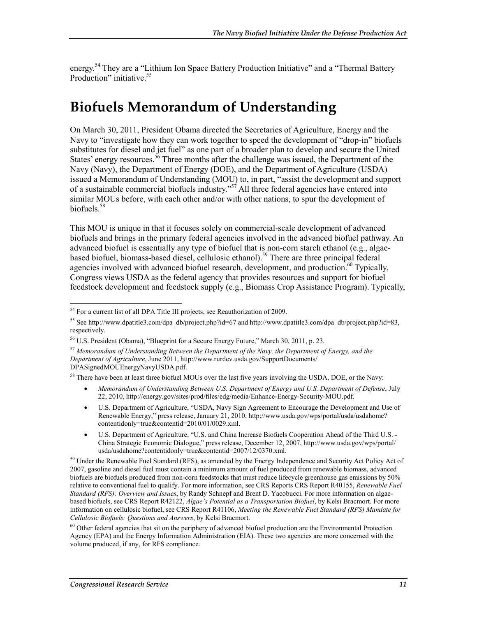energy.<sup>54</sup> They are a "Lithium Ion Space Battery Production Initiative" and a "Thermal Battery Production" initiative.<sup>55</sup>

# **Biofuels Memorandum of Understanding**

On March 30, 2011, President Obama directed the Secretaries of Agriculture, Energy and the Navy to "investigate how they can work together to speed the development of "drop-in" biofuels substitutes for diesel and jet fuel" as one part of a broader plan to develop and secure the United States' energy resources.<sup>56</sup> Three months after the challenge was issued, the Department of the Navy (Navy), the Department of Energy (DOE), and the Department of Agriculture (USDA) issued a Memorandum of Understanding (MOU) to, in part, "assist the development and support of a sustainable commercial biofuels industry."57 All three federal agencies have entered into similar MOUs before, with each other and/or with other nations, to spur the development of biofuels.<sup>58</sup>

This MOU is unique in that it focuses solely on commercial-scale development of advanced biofuels and brings in the primary federal agencies involved in the advanced biofuel pathway. An advanced biofuel is essentially any type of biofuel that is non-corn starch ethanol (e.g., algaebased biofuel, biomass-based diesel, cellulosic ethanol).<sup>59</sup> There are three principal federal agencies involved with advanced biofuel research, development, and production.<sup>60</sup> Typically, Congress views USDA as the federal agency that provides resources and support for biofuel feedstock development and feedstock supply (e.g., Biomass Crop Assistance Program). Typically,

<sup>58</sup> There have been at least three biofuel MOUs over the last five years involving the USDA, DOE, or the Navy:

- *Memorandum of Understanding Between U.S. Department of Energy and U.S. Department of Defense*, July 22, 2010, http://energy.gov/sites/prod/files/edg/media/Enhance-Energy-Security-MOU.pdf.
- U.S. Department of Agriculture, "USDA, Navy Sign Agreement to Encourage the Development and Use of Renewable Energy," press release, January 21, 2010, http://www.usda.gov/wps/portal/usda/usdahome? contentidonly=true&contentid=2010/01/0029.xml.
- U.S. Department of Agriculture, "U.S. and China Increase Biofuels Cooperation Ahead of the Third U.S. China Strategic Economic Dialogue," press release, December 12, 2007, http://www.usda.gov/wps/portal/ usda/usdahome?contentidonly=true&contentid=2007/12/0370.xml.

<sup>&</sup>lt;sup>54</sup> For a current list of all DPA Title III projects, see Reauthorization of 2009.

<sup>55</sup> See http://www.dpatitle3.com/dpa\_db/project.php?id=67 and http://www.dpatitle3.com/dpa\_db/project.php?id=83, respectively.

<sup>56</sup> U.S. President (Obama), "Blueprint for a Secure Energy Future," March 30, 2011, p. 23.

<sup>57</sup> *Memorandum of Understanding Between the Department of the Navy, the Department of Energy, and the Department of Agriculture*, June 2011, http://www.rurdev.usda.gov/SupportDocuments/ DPASignedMOUEnergyNavyUSDA.pdf.

<sup>&</sup>lt;sup>59</sup> Under the Renewable Fuel Standard (RFS), as amended by the Energy Independence and Security Act Policy Act of 2007, gasoline and diesel fuel must contain a minimum amount of fuel produced from renewable biomass, advanced biofuels are biofuels produced from non-corn feedstocks that must reduce lifecycle greenhouse gas emissions by 50% relative to conventional fuel to qualify. For more information, see CRS Reports CRS Report R40155, *Renewable Fuel Standard (RFS): Overview and Issues*, by Randy Schnepf and Brent D. Yacobucci. For more information on algaebased biofuels, see CRS Report R42122, *Algae's Potential as a Transportation Biofuel*, by Kelsi Bracmort. For more information on cellulosic biofuel, see CRS Report R41106, *Meeting the Renewable Fuel Standard (RFS) Mandate for Cellulosic Biofuels: Questions and Answers*, by Kelsi Bracmort.

<sup>&</sup>lt;sup>60</sup> Other federal agencies that sit on the periphery of advanced biofuel production are the Environmental Protection Agency (EPA) and the Energy Information Administration (EIA). These two agencies are more concerned with the volume produced, if any, for RFS compliance.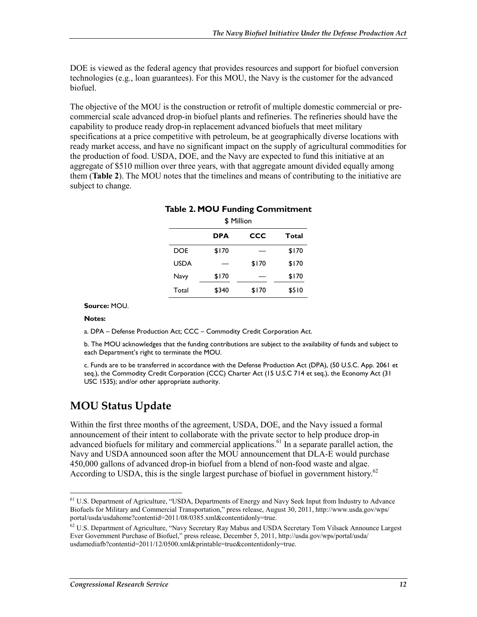DOE is viewed as the federal agency that provides resources and support for biofuel conversion technologies (e.g., loan guarantees). For this MOU, the Navy is the customer for the advanced biofuel.

The objective of the MOU is the construction or retrofit of multiple domestic commercial or precommercial scale advanced drop-in biofuel plants and refineries. The refineries should have the capability to produce ready drop-in replacement advanced biofuels that meet military specifications at a price competitive with petroleum, be at geographically diverse locations with ready market access, and have no significant impact on the supply of agricultural commodities for the production of food. USDA, DOE, and the Navy are expected to fund this initiative at an aggregate of \$510 million over three years, with that aggregate amount divided equally among them (**Table 2**). The MOU notes that the timelines and means of contributing to the initiative are subject to change.

| <b>Table 2. MOU Funding Commitment</b><br>\$ Million |            |       |       |  |  |  |
|------------------------------------------------------|------------|-------|-------|--|--|--|
|                                                      | <b>DPA</b> | CCC   | Total |  |  |  |
| <b>DOE</b>                                           | \$170      |       | \$170 |  |  |  |
| <b>USDA</b>                                          |            | \$170 | \$170 |  |  |  |
| Navy                                                 | \$170      |       | \$170 |  |  |  |
| Total                                                | \$340      | \$170 | \$510 |  |  |  |

**Source:** MOU.

#### **Notes:**

1

a. DPA – Defense Production Act; CCC – Commodity Credit Corporation Act.

b. The MOU acknowledges that the funding contributions are subject to the availability of funds and subject to each Department's right to terminate the MOU.

c. Funds are to be transferred in accordance with the Defense Production Act (DPA), (50 U.S.C. App. 2061 et seq.), the Commodity Credit Corporation (CCC) Charter Act (15 U.S.C 714 et seq.), the Economy Act (31 USC 1535); and/or other appropriate authority.

#### **MOU Status Update**

Within the first three months of the agreement, USDA, DOE, and the Navy issued a formal announcement of their intent to collaborate with the private sector to help produce drop-in advanced biofuels for military and commercial applications.<sup>61</sup> In a separate parallel action, the Navy and USDA announced soon after the MOU announcement that DLA-E would purchase 450,000 gallons of advanced drop-in biofuel from a blend of non-food waste and algae. According to USDA, this is the single largest purchase of biofuel in government history.<sup>62</sup>

<sup>61</sup> U.S. Department of Agriculture, "USDA, Departments of Energy and Navy Seek Input from Industry to Advance Biofuels for Military and Commercial Transportation," press release, August 30, 2011, http://www.usda.gov/wps/ portal/usda/usdahome?contentid=2011/08/0385.xml&contentidonly=true.

<sup>62</sup> U.S. Department of Agriculture, "Navy Secretary Ray Mabus and USDA Secretary Tom Vilsack Announce Largest Ever Government Purchase of Biofuel," press release, December 5, 2011, http://usda.gov/wps/portal/usda/ usdamediafb?contentid=2011/12/0500.xml&printable=true&contentidonly=true.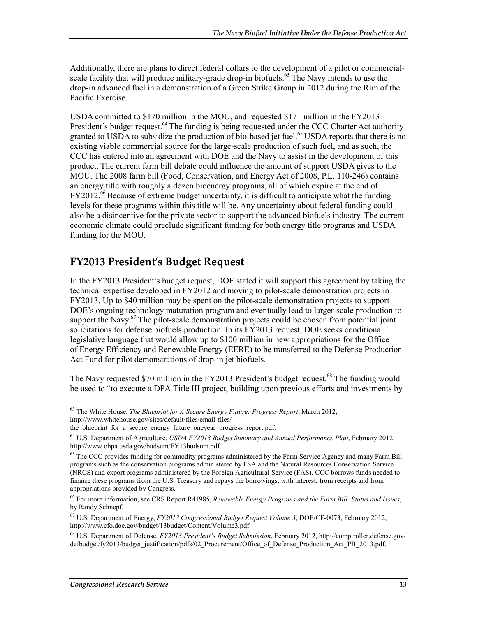Additionally, there are plans to direct federal dollars to the development of a pilot or commercialscale facility that will produce military-grade drop-in biofuels.<sup>63</sup> The Navy intends to use the drop-in advanced fuel in a demonstration of a Green Strike Group in 2012 during the Rim of the Pacific Exercise.

USDA committed to \$170 million in the MOU, and requested \$171 million in the FY2013 President's budget request.<sup>64</sup> The funding is being requested under the CCC Charter Act authority granted to USDA to subsidize the production of bio-based jet fuel.<sup>65</sup> USDA reports that there is no existing viable commercial source for the large-scale production of such fuel, and as such, the CCC has entered into an agreement with DOE and the Navy to assist in the development of this product. The current farm bill debate could influence the amount of support USDA gives to the MOU. The 2008 farm bill (Food, Conservation, and Energy Act of 2008, P.L. 110-246) contains an energy title with roughly a dozen bioenergy programs, all of which expire at the end of  $FY2012<sup>66</sup>$  Because of extreme budget uncertainty, it is difficult to anticipate what the funding levels for these programs within this title will be. Any uncertainty about federal funding could also be a disincentive for the private sector to support the advanced biofuels industry. The current economic climate could preclude significant funding for both energy title programs and USDA funding for the MOU.

### **FY2013 President's Budget Request**

In the FY2013 President's budget request, DOE stated it will support this agreement by taking the technical expertise developed in FY2012 and moving to pilot-scale demonstration projects in FY2013. Up to \$40 million may be spent on the pilot-scale demonstration projects to support DOE's ongoing technology maturation program and eventually lead to larger-scale production to support the Navy. $67$  The pilot-scale demonstration projects could be chosen from potential joint solicitations for defense biofuels production. In its FY2013 request, DOE seeks conditional legislative language that would allow up to \$100 million in new appropriations for the Office of Energy Efficiency and Renewable Energy (EERE) to be transferred to the Defense Production Act Fund for pilot demonstrations of drop-in jet biofuels.

The Navy requested \$70 million in the FY2013 President's budget request.<sup>68</sup> The funding would be used to "to execute a DPA Title III project, building upon previous efforts and investments by

<sup>&</sup>lt;u>.</u> 63 The White House, *The Blueprint for A Secure Energy Future: Progress Report*, March 2012, http://www.whitehouse.gov/sites/default/files/email-files/

the blueprint for a secure energy future oneyear progress report.pdf.

<sup>64</sup> U.S. Department of Agriculture, *USDA FY2013 Budget Summary and Annual Performance Plan*, February 2012, http://www.obpa.usda.gov/budsum/FY13budsum.pdf.

<sup>&</sup>lt;sup>65</sup> The CCC provides funding for commodity programs administered by the Farm Service Agency and many Farm Bill programs such as the conservation programs administered by FSA and the Natural Resources Conservation Service (NRCS) and export programs administered by the Foreign Agricultural Service (FAS). CCC borrows funds needed to finance these programs from the U.S. Treasury and repays the borrowings, with interest, from receipts and from appropriations provided by Congress.

<sup>66</sup> For more information, see CRS Report R41985, *Renewable Energy Programs and the Farm Bill: Status and Issues*, by Randy Schnepf.

<sup>67</sup> U.S. Department of Energy, *FY2013 Congressional Budget Request Volume 3*, DOE/CF-0073, February 2012, http://www.cfo.doe.gov/budget/13budget/Content/Volume3.pdf.

<sup>68</sup> U.S. Department of Defense, *FY2013 President's Budget Submission*, February 2012, http://comptroller.defense.gov/ defbudget/fy2013/budget\_justification/pdfs/02\_Procurement/Office\_of\_Defense\_Production\_Act\_PB\_2013.pdf.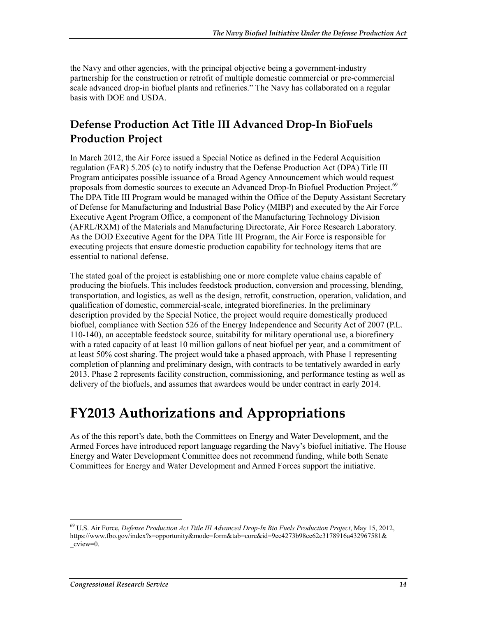the Navy and other agencies, with the principal objective being a government-industry partnership for the construction or retrofit of multiple domestic commercial or pre-commercial scale advanced drop-in biofuel plants and refineries." The Navy has collaborated on a regular basis with DOE and USDA.

## **Defense Production Act Title III Advanced Drop-In BioFuels Production Project**

In March 2012, the Air Force issued a Special Notice as defined in the Federal Acquisition regulation (FAR) 5.205 (c) to notify industry that the Defense Production Act (DPA) Title III Program anticipates possible issuance of a Broad Agency Announcement which would request proposals from domestic sources to execute an Advanced Drop-In Biofuel Production Project.<sup>69</sup> The DPA Title III Program would be managed within the Office of the Deputy Assistant Secretary of Defense for Manufacturing and Industrial Base Policy (MIBP) and executed by the Air Force Executive Agent Program Office, a component of the Manufacturing Technology Division (AFRL/RXM) of the Materials and Manufacturing Directorate, Air Force Research Laboratory. As the DOD Executive Agent for the DPA Title III Program, the Air Force is responsible for executing projects that ensure domestic production capability for technology items that are essential to national defense.

The stated goal of the project is establishing one or more complete value chains capable of producing the biofuels. This includes feedstock production, conversion and processing, blending, transportation, and logistics, as well as the design, retrofit, construction, operation, validation, and qualification of domestic, commercial-scale, integrated biorefineries. In the preliminary description provided by the Special Notice, the project would require domestically produced biofuel, compliance with Section 526 of the Energy Independence and Security Act of 2007 (P.L. 110-140), an acceptable feedstock source, suitability for military operational use, a biorefinery with a rated capacity of at least 10 million gallons of neat biofuel per year, and a commitment of at least 50% cost sharing. The project would take a phased approach, with Phase 1 representing completion of planning and preliminary design, with contracts to be tentatively awarded in early 2013. Phase 2 represents facility construction, commissioning, and performance testing as well as delivery of the biofuels, and assumes that awardees would be under contract in early 2014.

# **FY2013 Authorizations and Appropriations**

As of the this report's date, both the Committees on Energy and Water Development, and the Armed Forces have introduced report language regarding the Navy's biofuel initiative. The House Energy and Water Development Committee does not recommend funding, while both Senate Committees for Energy and Water Development and Armed Forces support the initiative.

<sup>69</sup> U.S. Air Force, *Defense Production Act Title III Advanced Drop-In Bio Fuels Production Project*, May 15, 2012, https://www.fbo.gov/index?s=opportunity&mode=form&tab=core&id=9ec4273b98ce62c3178916a432967581& \_cview=0.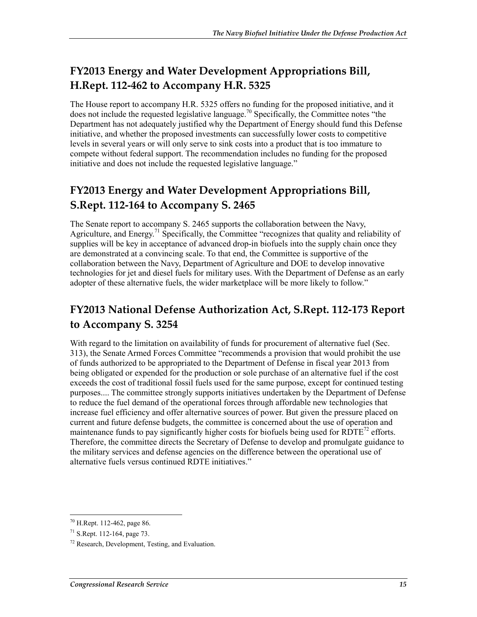# **FY2013 Energy and Water Development Appropriations Bill, H.Rept. 112-462 to Accompany H.R. 5325**

The House report to accompany H.R. 5325 offers no funding for the proposed initiative, and it does not include the requested legislative language.<sup>70</sup> Specifically, the Committee notes "the Department has not adequately justified why the Department of Energy should fund this Defense initiative, and whether the proposed investments can successfully lower costs to competitive levels in several years or will only serve to sink costs into a product that is too immature to compete without federal support. The recommendation includes no funding for the proposed initiative and does not include the requested legislative language."

# **FY2013 Energy and Water Development Appropriations Bill, S.Rept. 112-164 to Accompany S. 2465**

The Senate report to accompany S. 2465 supports the collaboration between the Navy, Agriculture, and Energy.<sup>71</sup> Specifically, the Committee "recognizes that quality and reliability of supplies will be key in acceptance of advanced drop-in biofuels into the supply chain once they are demonstrated at a convincing scale. To that end, the Committee is supportive of the collaboration between the Navy, Department of Agriculture and DOE to develop innovative technologies for jet and diesel fuels for military uses. With the Department of Defense as an early adopter of these alternative fuels, the wider marketplace will be more likely to follow."

# **FY2013 National Defense Authorization Act, S.Rept. 112-173 Report to Accompany S. 3254**

With regard to the limitation on availability of funds for procurement of alternative fuel (Sec. 313), the Senate Armed Forces Committee "recommends a provision that would prohibit the use of funds authorized to be appropriated to the Department of Defense in fiscal year 2013 from being obligated or expended for the production or sole purchase of an alternative fuel if the cost exceeds the cost of traditional fossil fuels used for the same purpose, except for continued testing purposes.... The committee strongly supports initiatives undertaken by the Department of Defense to reduce the fuel demand of the operational forces through affordable new technologies that increase fuel efficiency and offer alternative sources of power. But given the pressure placed on current and future defense budgets, the committee is concerned about the use of operation and maintenance funds to pay significantly higher costs for biofuels being used for  $R\overline{DTE}^{72}$  efforts. Therefore, the committee directs the Secretary of Defense to develop and promulgate guidance to the military services and defense agencies on the difference between the operational use of alternative fuels versus continued RDTE initiatives."

<sup>1</sup> 70 H.Rept. 112-462, page 86.

<sup>71</sup> S.Rept. 112-164, page 73.

<sup>72</sup> Research, Development, Testing, and Evaluation.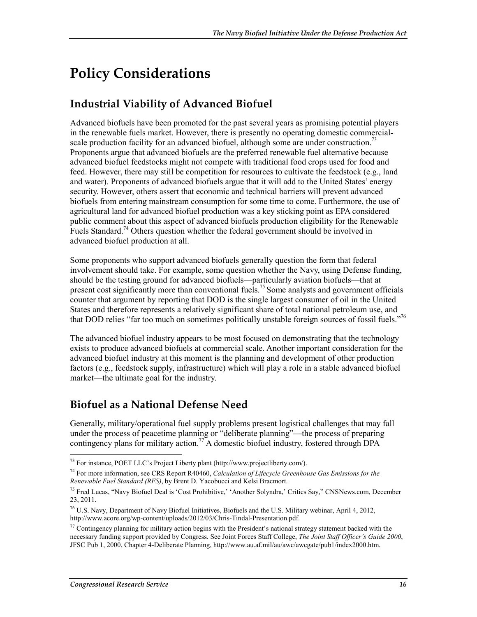# **Policy Considerations**

# **Industrial Viability of Advanced Biofuel**

Advanced biofuels have been promoted for the past several years as promising potential players in the renewable fuels market. However, there is presently no operating domestic commercialscale production facility for an advanced biofuel, although some are under construction.<sup>73</sup> Proponents argue that advanced biofuels are the preferred renewable fuel alternative because advanced biofuel feedstocks might not compete with traditional food crops used for food and feed. However, there may still be competition for resources to cultivate the feedstock  $(e.g.,]$  land and water). Proponents of advanced biofuels argue that it will add to the United States' energy security. However, others assert that economic and technical barriers will prevent advanced biofuels from entering mainstream consumption for some time to come. Furthermore, the use of agricultural land for advanced biofuel production was a key sticking point as EPA considered public comment about this aspect of advanced biofuels production eligibility for the Renewable Fuels Standard.<sup>74</sup> Others question whether the federal government should be involved in advanced biofuel production at all.

Some proponents who support advanced biofuels generally question the form that federal involvement should take. For example, some question whether the Navy, using Defense funding, should be the testing ground for advanced biofuels—particularly aviation biofuels—that at present cost significantly more than conventional fuels.<sup>75</sup> Some analysts and government officials counter that argument by reporting that DOD is the single largest consumer of oil in the United States and therefore represents a relatively significant share of total national petroleum use, and that DOD relies "far too much on sometimes politically unstable foreign sources of fossil fuels."76

The advanced biofuel industry appears to be most focused on demonstrating that the technology exists to produce advanced biofuels at commercial scale. Another important consideration for the advanced biofuel industry at this moment is the planning and development of other production factors (e.g., feedstock supply, infrastructure) which will play a role in a stable advanced biofuel market—the ultimate goal for the industry.

### **Biofuel as a National Defense Need**

Generally, military/operational fuel supply problems present logistical challenges that may fall under the process of peacetime planning or "deliberate planning"—the process of preparing contingency plans for military action.<sup>77</sup> A domestic biofuel industry, fostered through DPA

<sup>73</sup> For instance, POET LLC's Project Liberty plant (http://www.projectliberty.com/).

<sup>74</sup> For more information, see CRS Report R40460, *Calculation of Lifecycle Greenhouse Gas Emissions for the Renewable Fuel Standard (RFS)*, by Brent D. Yacobucci and Kelsi Bracmort.

<sup>&</sup>lt;sup>75</sup> Fred Lucas, "Navy Biofuel Deal is 'Cost Prohibitive,' 'Another Solyndra,' Critics Say," CNSNews.com, December 23, 2011.

<sup>76</sup> U.S. Navy, Department of Navy Biofuel Initiatives, Biofuels and the U.S. Military webinar, April 4, 2012, http://www.acore.org/wp-content/uploads/2012/03/Chris-Tindal-Presentation.pdf.

 $^{77}$  Contingency planning for military action begins with the President's national strategy statement backed with the necessary funding support provided by Congress. See Joint Forces Staff College, *The Joint Staff Officer's Guide 2000*, JFSC Pub 1, 2000, Chapter 4-Deliberate Planning, http://www.au.af.mil/au/awc/awcgate/pub1/index2000.htm.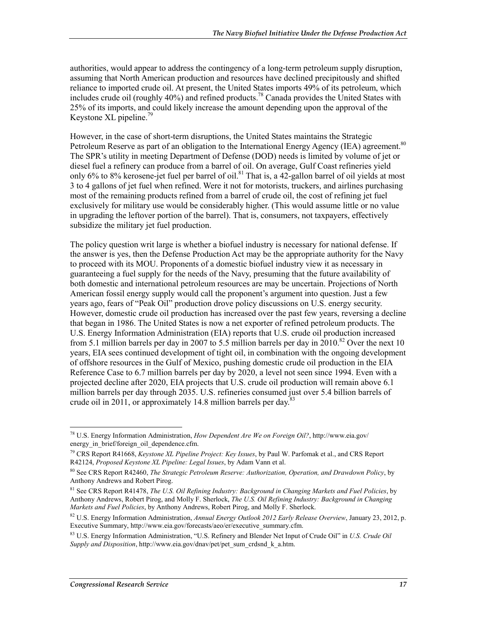authorities, would appear to address the contingency of a long-term petroleum supply disruption, assuming that North American production and resources have declined precipitously and shifted reliance to imported crude oil. At present, the United States imports 49% of its petroleum, which includes crude oil (roughly 40%) and refined products.<sup>78</sup> Canada provides the United States with 25% of its imports, and could likely increase the amount depending upon the approval of the Keystone XL pipeline.<sup>79</sup>

However, in the case of short-term disruptions, the United States maintains the Strategic Petroleum Reserve as part of an obligation to the International Energy Agency (IEA) agreement.<sup>80</sup> The SPR's utility in meeting Department of Defense (DOD) needs is limited by volume of jet or diesel fuel a refinery can produce from a barrel of oil. On average, Gulf Coast refineries yield only 6% to 8% kerosene-jet fuel per barrel of oil.<sup>81</sup> That is, a 42-gallon barrel of oil yields at most 3 to 4 gallons of jet fuel when refined. Were it not for motorists, truckers, and airlines purchasing most of the remaining products refined from a barrel of crude oil, the cost of refining jet fuel exclusively for military use would be considerably higher. (This would assume little or no value in upgrading the leftover portion of the barrel). That is, consumers, not taxpayers, effectively subsidize the military jet fuel production.

The policy question writ large is whether a biofuel industry is necessary for national defense. If the answer is yes, then the Defense Production Act may be the appropriate authority for the Navy to proceed with its MOU. Proponents of a domestic biofuel industry view it as necessary in guaranteeing a fuel supply for the needs of the Navy, presuming that the future availability of both domestic and international petroleum resources are may be uncertain. Projections of North American fossil energy supply would call the proponent's argument into question. Just a few years ago, fears of "Peak Oil" production drove policy discussions on U.S. energy security. However, domestic crude oil production has increased over the past few years, reversing a decline that began in 1986. The United States is now a net exporter of refined petroleum products. The U.S. Energy Information Administration (EIA) reports that U.S. crude oil production increased from 5.1 million barrels per day in 2007 to 5.5 million barrels per day in  $2010$ .<sup>82</sup> Over the next 10 years, EIA sees continued development of tight oil, in combination with the ongoing development of offshore resources in the Gulf of Mexico, pushing domestic crude oil production in the EIA Reference Case to 6.7 million barrels per day by 2020, a level not seen since 1994. Even with a projected decline after 2020, EIA projects that U.S. crude oil production will remain above 6.1 million barrels per day through 2035. U.S. refineries consumed just over 5.4 billion barrels of crude oil in 2011, or approximately 14.8 million barrels per day.<sup>83</sup>

<sup>78</sup> U.S. Energy Information Administration, *How Dependent Are We on Foreign Oil?*, http://www.eia.gov/ energy in brief/foreign oil dependence.cfm.

<sup>79</sup> CRS Report R41668, *Keystone XL Pipeline Project: Key Issues*, by Paul W. Parfomak et al., and CRS Report R42124, *Proposed Keystone XL Pipeline: Legal Issues*, by Adam Vann et al.

<sup>80</sup> See CRS Report R42460, *The Strategic Petroleum Reserve: Authorization, Operation, and Drawdown Policy*, by Anthony Andrews and Robert Pirog.

<sup>81</sup> See CRS Report R41478, *The U.S. Oil Refining Industry: Background in Changing Markets and Fuel Policies*, by Anthony Andrews, Robert Pirog, and Molly F. Sherlock, *The U.S. Oil Refining Industry: Background in Changing Markets and Fuel Policies*, by Anthony Andrews, Robert Pirog, and Molly F. Sherlock.

<sup>82</sup> U.S. Energy Information Administration, *Annual Energy Outlook 2012 Early Release Overview*, January 23, 2012, p. Executive Summary, http://www.eia.gov/forecasts/aeo/er/executive\_summary.cfm.

<sup>83</sup> U.S. Energy Information Administration, "U.S. Refinery and Blender Net Input of Crude Oil" in *U.S. Crude Oil Supply and Disposition*, http://www.eia.gov/dnav/pet/pet\_sum\_crdsnd\_k\_a.htm.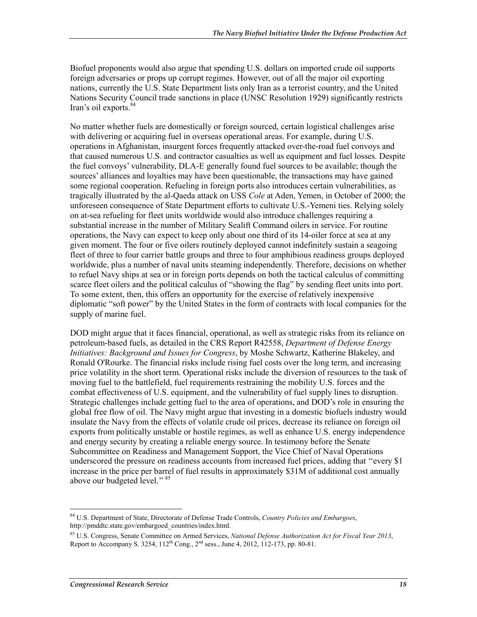Biofuel proponents would also argue that spending U.S. dollars on imported crude oil supports foreign adversaries or props up corrupt regimes. However, out of all the major oil exporting nations, currently the U.S. State Department lists only Iran as a terrorist country, and the United Nations Security Council trade sanctions in place (UNSC Resolution 1929) significantly restricts Iran's oil exports.<sup>84</sup>

No matter whether fuels are domestically or foreign sourced, certain logistical challenges arise with delivering or acquiring fuel in overseas operational areas. For example, during U.S. operations in Afghanistan, insurgent forces frequently attacked over-the-road fuel convoys and that caused numerous U.S. and contractor casualties as well as equipment and fuel losses. Despite the fuel convoys' vulnerability, DLA-E generally found fuel sources to be available; though the sources' alliances and loyalties may have been questionable, the transactions may have gained some regional cooperation. Refueling in foreign ports also introduces certain vulnerabilities, as tragically illustrated by the al-Qaeda attack on USS *Cole* at Aden, Yemen, in October of 2000; the unforeseen consequence of State Department efforts to cultivate U.S.-Yemeni ties. Relying solely on at-sea refueling for fleet units worldwide would also introduce challenges requiring a substantial increase in the number of Military Sealift Command oilers in service. For routine operations, the Navy can expect to keep only about one third of its 14-oiler force at sea at any given moment. The four or five oilers routinely deployed cannot indefinitely sustain a seagoing fleet of three to four carrier battle groups and three to four amphibious readiness groups deployed worldwide, plus a number of naval units steaming independently. Therefore, decisions on whether to refuel Navy ships at sea or in foreign ports depends on both the tactical calculus of committing scarce fleet oilers and the political calculus of "showing the flag" by sending fleet units into port. To some extent, then, this offers an opportunity for the exercise of relatively inexpensive diplomatic "soft power" by the United States in the form of contracts with local companies for the supply of marine fuel.

DOD might argue that it faces financial, operational, as well as strategic risks from its reliance on petroleum-based fuels, as detailed in the CRS Report R42558, *Department of Defense Energy Initiatives: Background and Issues for Congress*, by Moshe Schwartz, Katherine Blakeley, and Ronald O'Rourke. The financial risks include rising fuel costs over the long term, and increasing price volatility in the short term. Operational risks include the diversion of resources to the task of moving fuel to the battlefield, fuel requirements restraining the mobility U.S. forces and the combat effectiveness of U.S. equipment, and the vulnerability of fuel supply lines to disruption. Strategic challenges include getting fuel to the area of operations, and DOD's role in ensuring the global free flow of oil. The Navy might argue that investing in a domestic biofuels industry would insulate the Navy from the effects of volatile crude oil prices, decrease its reliance on foreign oil exports from politically unstable or hostile regimes, as well as enhance U.S. energy independence and energy security by creating a reliable energy source. In testimony before the Senate Subcommittee on Readiness and Management Support, the Vice Chief of Naval Operations underscored the pressure on readiness accounts from increased fuel prices, adding that ''every \$1 increase in the price per barrel of fuel results in approximately \$31M of additional cost annually above our budgeted level.'' 85

<sup>1</sup> 84 U.S. Department of State, Directorate of Defense Trade Controls, *Country Policies and Embargoes*, http://pmddtc.state.gov/embargoed\_countries/index.html.

<sup>85</sup> U.S. Congress, Senate Committee on Armed Services, *National Defense Authorization Act for Fiscal Year 2013*, Report to Accompany S. 3254,  $112^{th}$  Cong.,  $2^{nd}$  sess., June 4, 2012, 112-173, pp. 80-81.